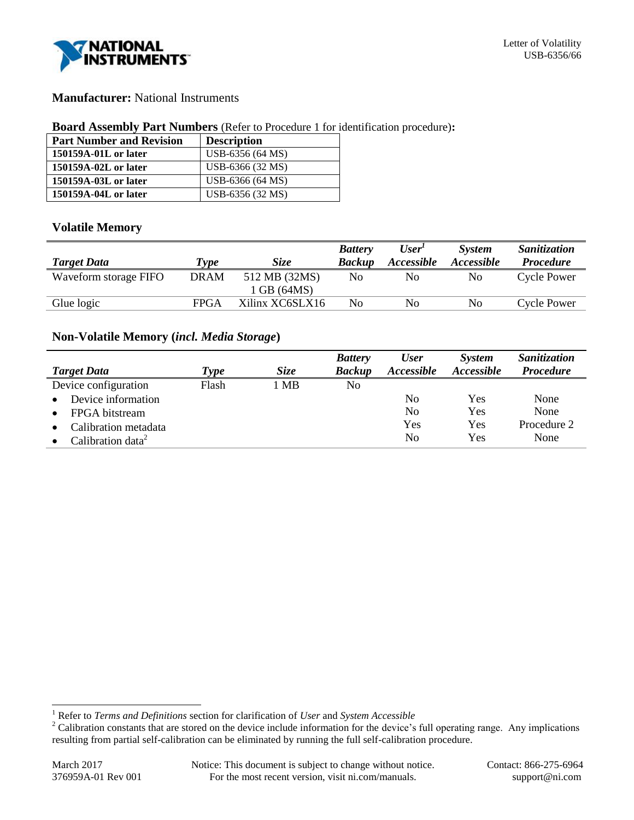

## **Manufacturer:** National Instruments

### **Board Assembly Part Numbers** (Refer to Procedure 1 for identification procedure)**:**

| <b>Part Number and Revision</b> | <b>Description</b> |
|---------------------------------|--------------------|
| 150159A-01L or later            | USB-6356 (64 MS)   |
| 150159A-02L or later            | USB-6366 (32 MS)   |
| 150159A-03L or later            | USB-6366 (64 MS)   |
| 150159A-04L or later            | USB-6356 (32 MS)   |

### **Volatile Memory**

| Type        | Size            | <b>Battery</b><br><b>Backup</b> | User <sup>1</sup><br><i><b>Accessible</b></i> | <b>System</b><br>Accessible | Sanitization<br><b>Procedure</b> |
|-------------|-----------------|---------------------------------|-----------------------------------------------|-----------------------------|----------------------------------|
| <b>DRAM</b> | 512 MB (32MS)   | No                              | No                                            | No                          | <b>Cycle Power</b>               |
|             | 1 GB (64MS)     |                                 |                                               |                             |                                  |
| <b>FPGA</b> | Xilinx XC6SLX16 | No                              | No                                            | No                          | <b>Cycle Power</b>               |
|             |                 |                                 |                                               |                             |                                  |

# **Non-Volatile Memory (***incl. Media Storage***)**

|                                 |       |             | <b>Battery</b> | <b>User</b>              | <b>System</b>     | Sanitization     |
|---------------------------------|-------|-------------|----------------|--------------------------|-------------------|------------------|
| <b>Target Data</b>              | Type  | <b>Size</b> | <b>Backup</b>  | <i><b>Accessible</b></i> | <i>Accessible</i> | <b>Procedure</b> |
| Device configuration            | Flash | 1 MB        | No             |                          |                   |                  |
| Device information<br>$\bullet$ |       |             |                | No                       | Yes               | None             |
| FPGA bitstream                  |       |             |                | N <sub>0</sub>           | Yes               | None             |
| Calibration metadata            |       |             |                | Yes                      | Yes               | Procedure 2      |
| Calibration data <sup>2</sup>   |       |             |                | No                       | Yes               | None             |

l

<sup>1</sup> Refer to *Terms and Definitions* section for clarification of *User* and *System Accessible*

<sup>&</sup>lt;sup>2</sup> Calibration constants that are stored on the device include information for the device's full operating range. Any implications resulting from partial self-calibration can be eliminated by running the full self-calibration procedure.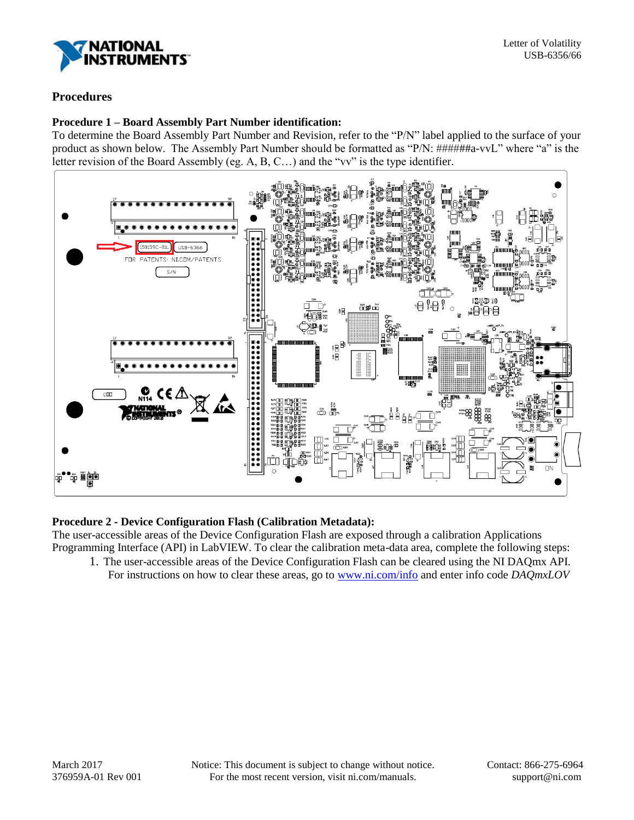

# **Procedures**

### **Procedure 1 – Board Assembly Part Number identification:**

To determine the Board Assembly Part Number and Revision, refer to the "P/N" label applied to the surface of your product as shown below. The Assembly Part Number should be formatted as "P/N: ######a-vvL" where "a" is the letter revision of the Board Assembly (eg. A, B, C…) and the "vv" is the type identifier.



## **Procedure 2 - Device Configuration Flash (Calibration Metadata):**

The user-accessible areas of the Device Configuration Flash are exposed through a calibration Applications Programming Interface (API) in LabVIEW. To clear the calibration meta-data area, complete the following steps:

1. The user-accessible areas of the Device Configuration Flash can be cleared using the NI DAQmx API. For instructions on how to clear these areas, go to [www.ni.com/info](http://www.ni.com/info) and enter info code *DAQmxLOV*